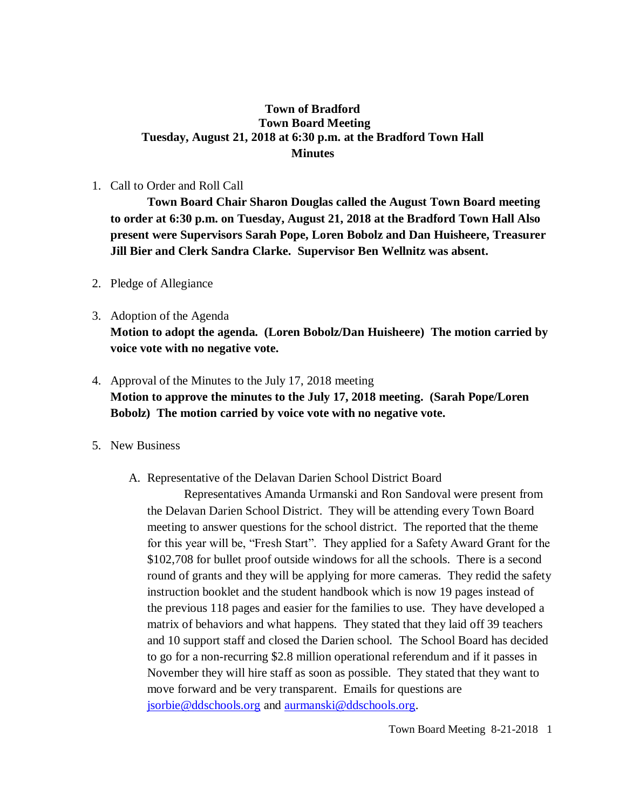### **Town of Bradford Town Board Meeting Tuesday, August 21, 2018 at 6:30 p.m. at the Bradford Town Hall Minutes**

#### 1. Call to Order and Roll Call

**Town Board Chair Sharon Douglas called the August Town Board meeting to order at 6:30 p.m. on Tuesday, August 21, 2018 at the Bradford Town Hall Also present were Supervisors Sarah Pope, Loren Bobolz and Dan Huisheere, Treasurer Jill Bier and Clerk Sandra Clarke. Supervisor Ben Wellnitz was absent.**

#### 2. Pledge of Allegiance

- 3. Adoption of the Agenda **Motion to adopt the agenda. (Loren Bobolz/Dan Huisheere) The motion carried by voice vote with no negative vote.**
- 4. Approval of the Minutes to the July 17, 2018 meeting **Motion to approve the minutes to the July 17, 2018 meeting. (Sarah Pope/Loren Bobolz) The motion carried by voice vote with no negative vote.**
- 5. New Business
	- A. Representative of the Delavan Darien School District Board

Representatives Amanda Urmanski and Ron Sandoval were present from the Delavan Darien School District. They will be attending every Town Board meeting to answer questions for the school district. The reported that the theme for this year will be, "Fresh Start". They applied for a Safety Award Grant for the \$102,708 for bullet proof outside windows for all the schools. There is a second round of grants and they will be applying for more cameras. They redid the safety instruction booklet and the student handbook which is now 19 pages instead of the previous 118 pages and easier for the families to use. They have developed a matrix of behaviors and what happens. They stated that they laid off 39 teachers and 10 support staff and closed the Darien school. The School Board has decided to go for a non-recurring \$2.8 million operational referendum and if it passes in November they will hire staff as soon as possible. They stated that they want to move forward and be very transparent. Emails for questions are [jsorbie@ddschools.org](mailto:jsorbie@ddschools.org) and [aurmanski@ddschools.org.](mailto:aurmanski@ddschools.org)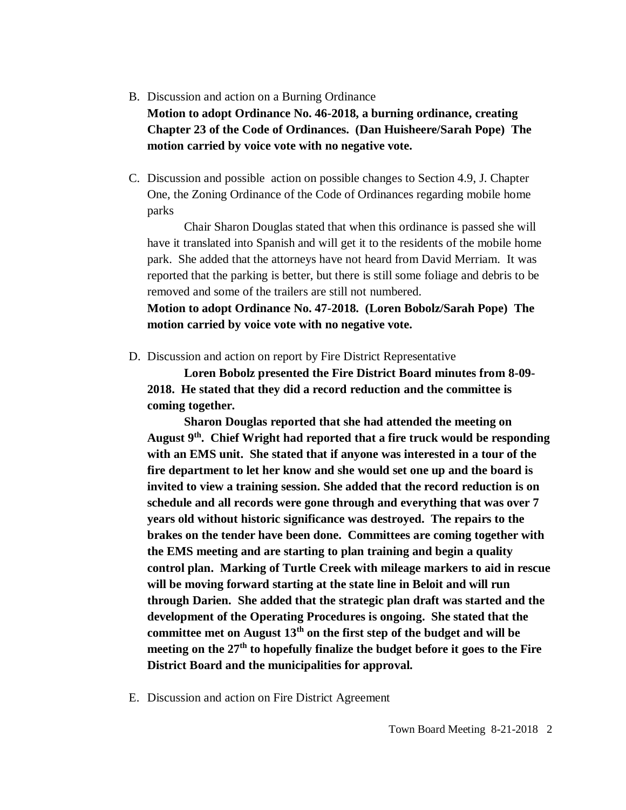B. Discussion and action on a Burning Ordinance

**Motion to adopt Ordinance No. 46-2018, a burning ordinance, creating Chapter 23 of the Code of Ordinances. (Dan Huisheere/Sarah Pope) The motion carried by voice vote with no negative vote.**

C. Discussion and possible action on possible changes to Section 4.9, J. Chapter One, the Zoning Ordinance of the Code of Ordinances regarding mobile home parks

Chair Sharon Douglas stated that when this ordinance is passed she will have it translated into Spanish and will get it to the residents of the mobile home park. She added that the attorneys have not heard from David Merriam. It was reported that the parking is better, but there is still some foliage and debris to be removed and some of the trailers are still not numbered.

**Motion to adopt Ordinance No. 47-2018. (Loren Bobolz/Sarah Pope) The motion carried by voice vote with no negative vote.**

D. Discussion and action on report by Fire District Representative

**Loren Bobolz presented the Fire District Board minutes from 8-09- 2018. He stated that they did a record reduction and the committee is coming together.** 

**Sharon Douglas reported that she had attended the meeting on August 9th. Chief Wright had reported that a fire truck would be responding with an EMS unit. She stated that if anyone was interested in a tour of the fire department to let her know and she would set one up and the board is invited to view a training session. She added that the record reduction is on schedule and all records were gone through and everything that was over 7 years old without historic significance was destroyed. The repairs to the brakes on the tender have been done. Committees are coming together with the EMS meeting and are starting to plan training and begin a quality control plan. Marking of Turtle Creek with mileage markers to aid in rescue will be moving forward starting at the state line in Beloit and will run through Darien. She added that the strategic plan draft was started and the development of the Operating Procedures is ongoing. She stated that the committee met on August 13th on the first step of the budget and will be meeting on the 27th to hopefully finalize the budget before it goes to the Fire District Board and the municipalities for approval.**

E. Discussion and action on Fire District Agreement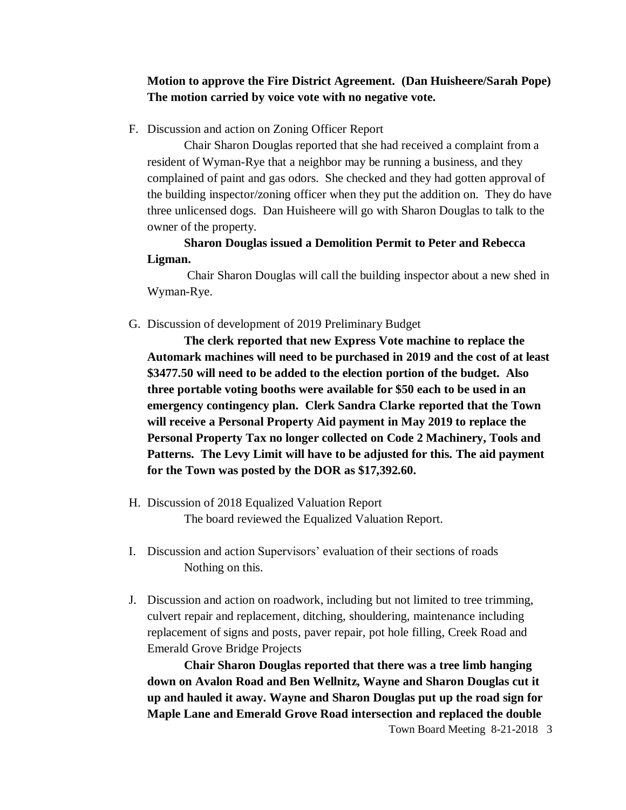**Motion to approve the Fire District Agreement. (Dan Huisheere/Sarah Pope) The motion carried by voice vote with no negative vote.**

F. Discussion and action on Zoning Officer Report

Chair Sharon Douglas reported that she had received a complaint from a resident of Wyman-Rye that a neighbor may be running a business, and they complained of paint and gas odors. She checked and they had gotten approval of the building inspector/zoning officer when they put the addition on. They do have three unlicensed dogs. Dan Huisheere will go with Sharon Douglas to talk to the owner of the property.

**Sharon Douglas issued a Demolition Permit to Peter and Rebecca Ligman.**

Chair Sharon Douglas will call the building inspector about a new shed in Wyman-Rye.

G. Discussion of development of 2019 Preliminary Budget

**The clerk reported that new Express Vote machine to replace the Automark machines will need to be purchased in 2019 and the cost of at least \$3477.50 will need to be added to the election portion of the budget. Also three portable voting booths were available for \$50 each to be used in an emergency contingency plan. Clerk Sandra Clarke reported that the Town will receive a Personal Property Aid payment in May 2019 to replace the Personal Property Tax no longer collected on Code 2 Machinery, Tools and Patterns. The Levy Limit will have to be adjusted for this. The aid payment for the Town was posted by the DOR as \$17,392.60.**

- H. Discussion of 2018 Equalized Valuation Report The board reviewed the Equalized Valuation Report.
- I. Discussion and action Supervisors' evaluation of their sections of roads Nothing on this.
- J. Discussion and action on roadwork, including but not limited to tree trimming, culvert repair and replacement, ditching, shouldering, maintenance including replacement of signs and posts, paver repair, pot hole filling, Creek Road and Emerald Grove Bridge Projects

**Chair Sharon Douglas reported that there was a tree limb hanging down on Avalon Road and Ben Wellnitz, Wayne and Sharon Douglas cut it up and hauled it away. Wayne and Sharon Douglas put up the road sign for Maple Lane and Emerald Grove Road intersection and replaced the double** 

Town Board Meeting 8-21-2018 3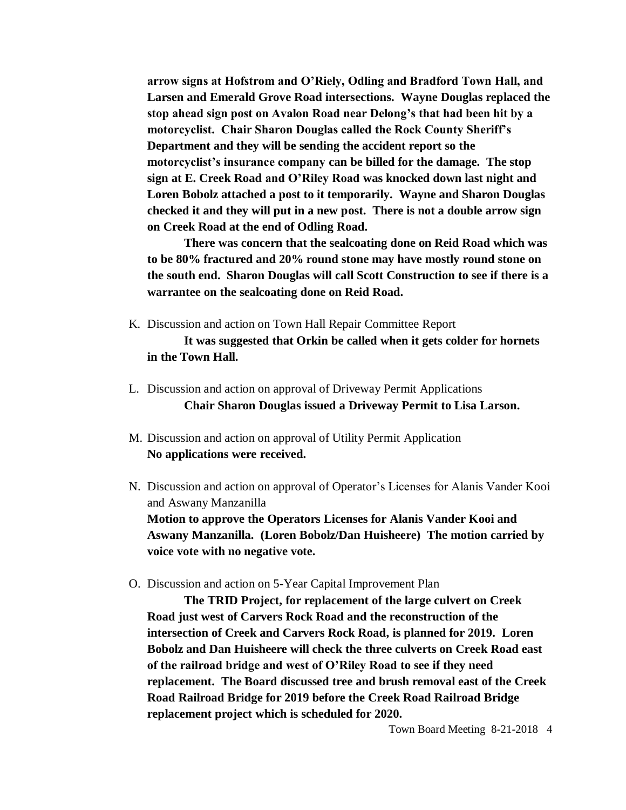**arrow signs at Hofstrom and O'Riely, Odling and Bradford Town Hall, and Larsen and Emerald Grove Road intersections. Wayne Douglas replaced the stop ahead sign post on Avalon Road near Delong's that had been hit by a motorcyclist. Chair Sharon Douglas called the Rock County Sheriff's Department and they will be sending the accident report so the motorcyclist's insurance company can be billed for the damage. The stop sign at E. Creek Road and O'Riley Road was knocked down last night and Loren Bobolz attached a post to it temporarily. Wayne and Sharon Douglas checked it and they will put in a new post. There is not a double arrow sign on Creek Road at the end of Odling Road.** 

**There was concern that the sealcoating done on Reid Road which was to be 80% fractured and 20% round stone may have mostly round stone on the south end. Sharon Douglas will call Scott Construction to see if there is a warrantee on the sealcoating done on Reid Road.**

K. Discussion and action on Town Hall Repair Committee Report

**It was suggested that Orkin be called when it gets colder for hornets in the Town Hall.**

- L. Discussion and action on approval of Driveway Permit Applications **Chair Sharon Douglas issued a Driveway Permit to Lisa Larson.**
- M. Discussion and action on approval of Utility Permit Application **No applications were received.**
- N. Discussion and action on approval of Operator's Licenses for Alanis Vander Kooi and Aswany Manzanilla **Motion to approve the Operators Licenses for Alanis Vander Kooi and Aswany Manzanilla. (Loren Bobolz/Dan Huisheere) The motion carried by voice vote with no negative vote.**
- O. Discussion and action on 5-Year Capital Improvement Plan

**The TRID Project, for replacement of the large culvert on Creek Road just west of Carvers Rock Road and the reconstruction of the intersection of Creek and Carvers Rock Road, is planned for 2019. Loren Bobolz and Dan Huisheere will check the three culverts on Creek Road east of the railroad bridge and west of O'Riley Road to see if they need replacement. The Board discussed tree and brush removal east of the Creek Road Railroad Bridge for 2019 before the Creek Road Railroad Bridge replacement project which is scheduled for 2020.**

Town Board Meeting 8-21-2018 4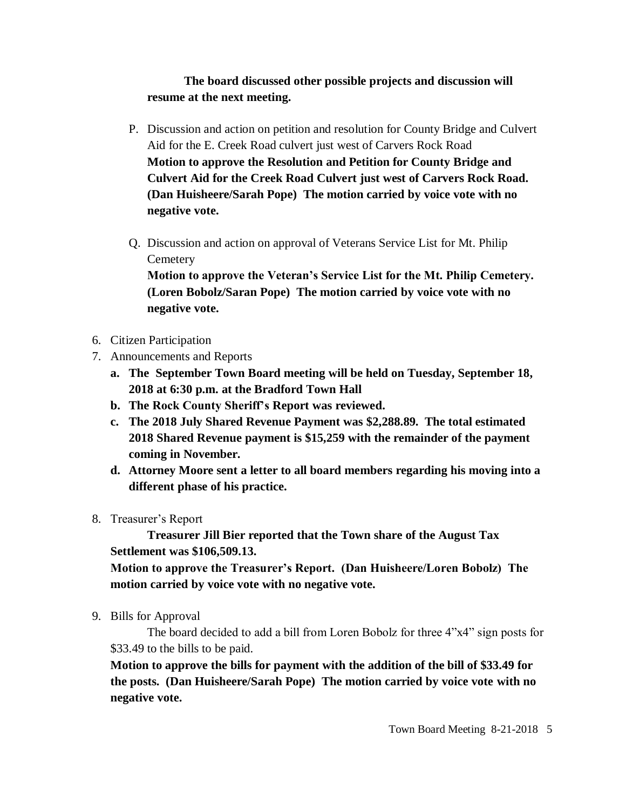# **The board discussed other possible projects and discussion will resume at the next meeting.**

- P. Discussion and action on petition and resolution for County Bridge and Culvert Aid for the E. Creek Road culvert just west of Carvers Rock Road **Motion to approve the Resolution and Petition for County Bridge and Culvert Aid for the Creek Road Culvert just west of Carvers Rock Road. (Dan Huisheere/Sarah Pope) The motion carried by voice vote with no negative vote.**
- Q. Discussion and action on approval of Veterans Service List for Mt. Philip **Cemetery**

**Motion to approve the Veteran's Service List for the Mt. Philip Cemetery. (Loren Bobolz/Saran Pope) The motion carried by voice vote with no negative vote.**

- 6. Citizen Participation
- 7. Announcements and Reports
	- **a. The September Town Board meeting will be held on Tuesday, September 18, 2018 at 6:30 p.m. at the Bradford Town Hall**
	- **b. The Rock County Sheriff's Report was reviewed.**
	- **c. The 2018 July Shared Revenue Payment was \$2,288.89. The total estimated 2018 Shared Revenue payment is \$15,259 with the remainder of the payment coming in November.**
	- **d. Attorney Moore sent a letter to all board members regarding his moving into a different phase of his practice.**
- 8. Treasurer's Report

**Treasurer Jill Bier reported that the Town share of the August Tax Settlement was \$106,509.13.**

**Motion to approve the Treasurer's Report. (Dan Huisheere/Loren Bobolz) The motion carried by voice vote with no negative vote.**

9. Bills for Approval

The board decided to add a bill from Loren Bobolz for three 4"x4" sign posts for \$33.49 to the bills to be paid.

**Motion to approve the bills for payment with the addition of the bill of \$33.49 for the posts. (Dan Huisheere/Sarah Pope) The motion carried by voice vote with no negative vote.**